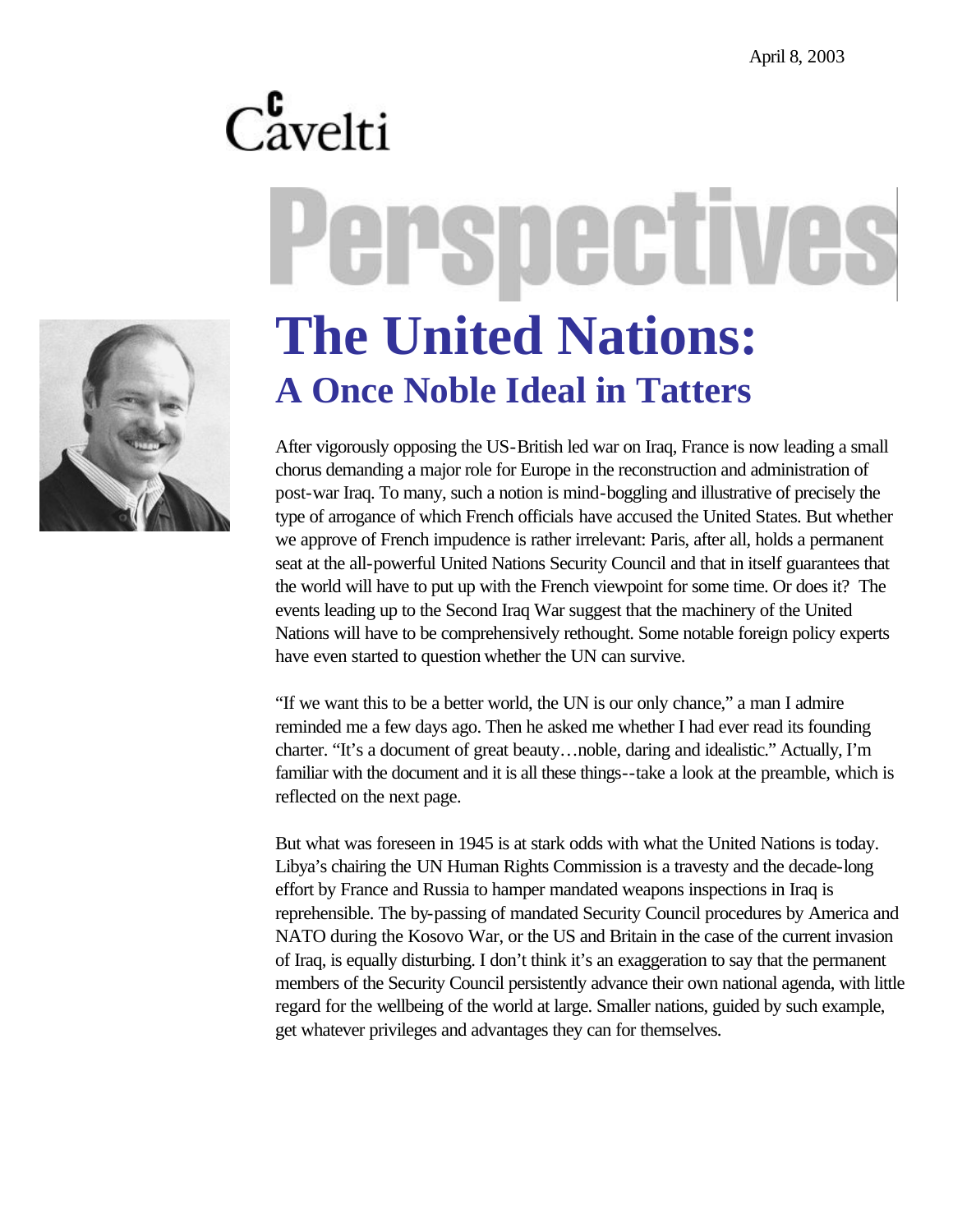# $C_{\text{avelti}}^{\text{c}}$ erspectives



# **The United Nations: A Once Noble Ideal in Tatters**

After vigorously opposing the US-British led war on Iraq, France is now leading a small chorus demanding a major role for Europe in the reconstruction and administration of post-war Iraq. To many, such a notion is mind-boggling and illustrative of precisely the type of arrogance of which French officials have accused the United States. But whether we approve of French impudence is rather irrelevant: Paris, after all, holds a permanent seat at the all-powerful United Nations Security Council and that in itself guarantees that the world will have to put up with the French viewpoint for some time. Or does it? The events leading up to the Second Iraq War suggest that the machinery of the United Nations will have to be comprehensively rethought. Some notable foreign policy experts have even started to question whether the UN can survive.

"If we want this to be a better world, the UN is our only chance," a man I admire reminded me a few days ago. Then he asked me whether I had ever read its founding charter. "It's a document of great beauty…noble, daring and idealistic." Actually, I'm familiar with the document and it is all these things--take a look at the preamble, which is reflected on the next page.

But what was foreseen in 1945 is at stark odds with what the United Nations is today. Libya's chairing the UN Human Rights Commission is a travesty and the decade-long effort by France and Russia to hamper mandated weapons inspections in Iraq is reprehensible. The by-passing of mandated Security Council procedures by America and NATO during the Kosovo War, or the US and Britain in the case of the current invasion of Iraq, is equally disturbing. I don't think it's an exaggeration to say that the permanent members of the Security Council persistently advance their own national agenda, with little regard for the wellbeing of the world at large. Smaller nations, guided by such example, get whatever privileges and advantages they can for themselves.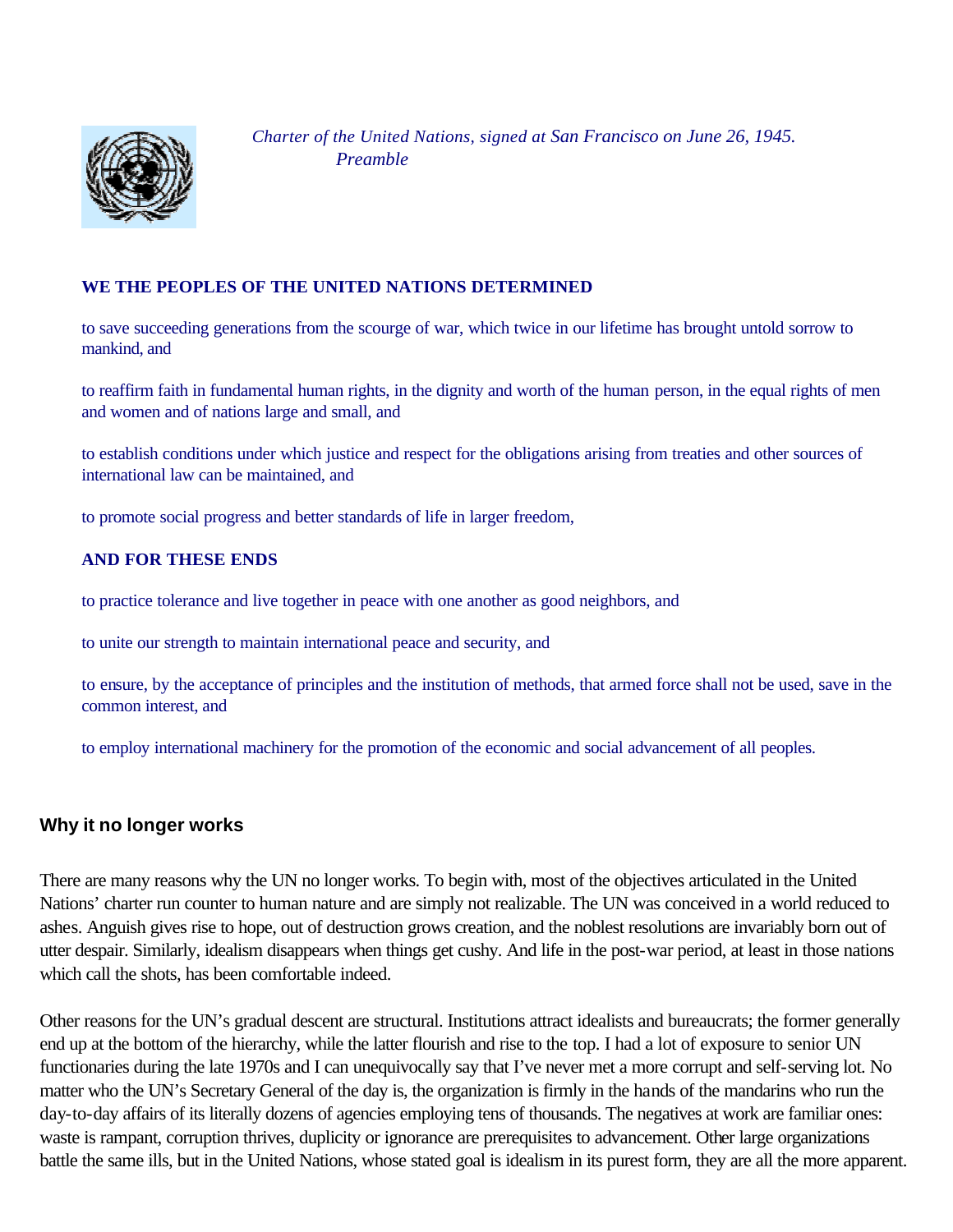

 *Charter of the United Nations, signed at San Francisco on June 26, 1945. Preamble*

#### **WE THE PEOPLES OF THE UNITED NATIONS DETERMINED**

to save succeeding generations from the scourge of war, which twice in our lifetime has brought untold sorrow to mankind, and

to reaffirm faith in fundamental human rights, in the dignity and worth of the human person, in the equal rights of men and women and of nations large and small, and

to establish conditions under which justice and respect for the obligations arising from treaties and other sources of international law can be maintained, and

to promote social progress and better standards of life in larger freedom,

#### **AND FOR THESE ENDS**

to practice tolerance and live together in peace with one another as good neighbors, and

to unite our strength to maintain international peace and security, and

to ensure, by the acceptance of principles and the institution of methods, that armed force shall not be used, save in the common interest, and

to employ international machinery for the promotion of the economic and social advancement of all peoples.

## **Why it no longer works**

There are many reasons why the UN no longer works. To begin with, most of the objectives articulated in the United Nations' charter run counter to human nature and are simply not realizable. The UN was conceived in a world reduced to ashes. Anguish gives rise to hope, out of destruction grows creation, and the noblest resolutions are invariably born out of utter despair. Similarly, idealism disappears when things get cushy. And life in the post-war period, at least in those nations which call the shots, has been comfortable indeed.

Other reasons for the UN's gradual descent are structural. Institutions attract idealists and bureaucrats; the former generally end up at the bottom of the hierarchy, while the latter flourish and rise to the top. I had a lot of exposure to senior UN functionaries during the late 1970s and I can unequivocally say that I've never met a more corrupt and self-serving lot. No matter who the UN's Secretary General of the day is, the organization is firmly in the hands of the mandarins who run the day-to-day affairs of its literally dozens of agencies employing tens of thousands. The negatives at work are familiar ones: waste is rampant, corruption thrives, duplicity or ignorance are prerequisites to advancement. Other large organizations battle the same ills, but in the United Nations, whose stated goal is idealism in its purest form, they are all the more apparent.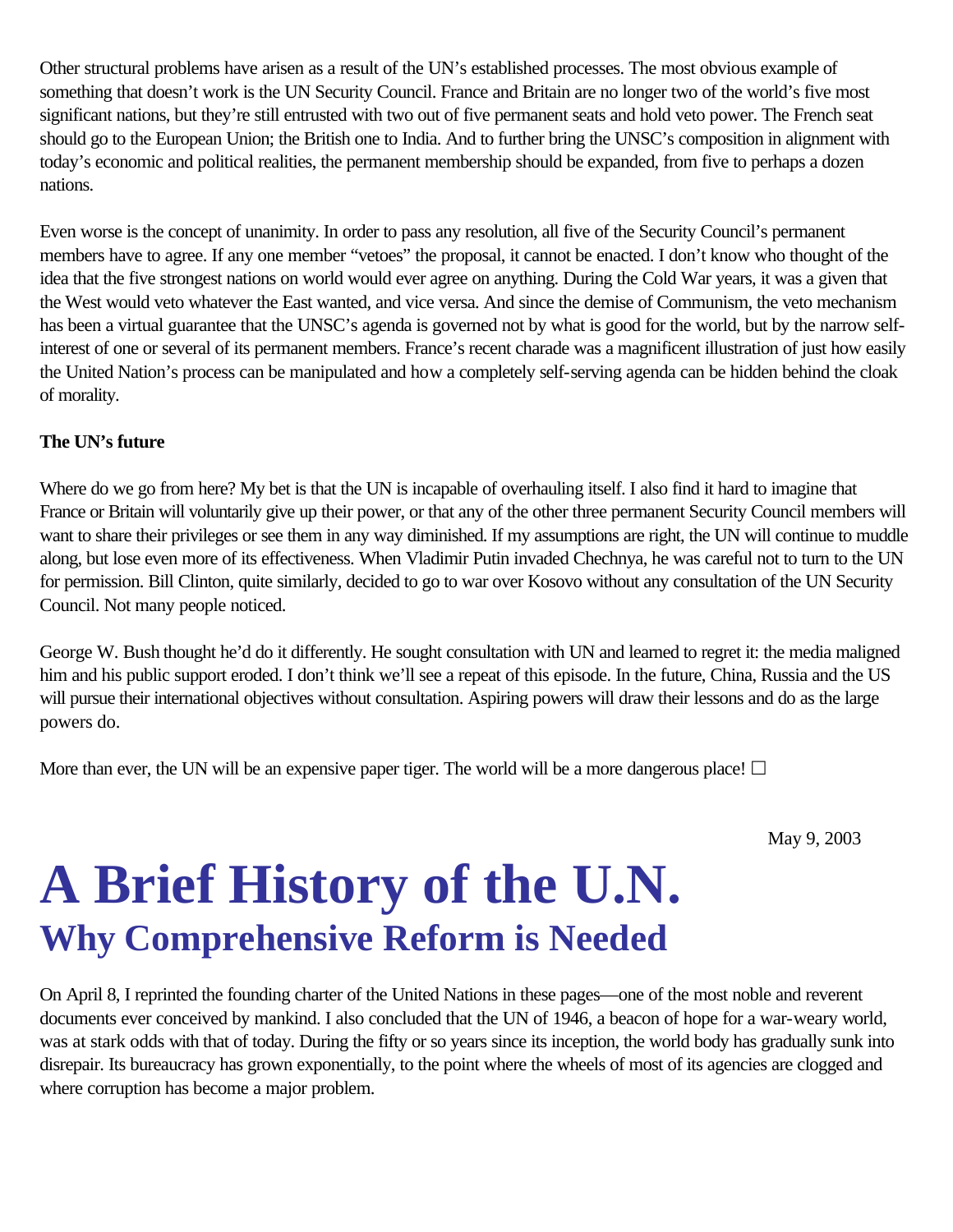Other structural problems have arisen as a result of the UN's established processes. The most obvious example of something that doesn't work is the UN Security Council. France and Britain are no longer two of the world's five most significant nations, but they're still entrusted with two out of five permanent seats and hold veto power. The French seat should go to the European Union; the British one to India. And to further bring the UNSC's composition in alignment with today's economic and political realities, the permanent membership should be expanded, from five to perhaps a dozen nations.

Even worse is the concept of unanimity. In order to pass any resolution, all five of the Security Council's permanent members have to agree. If any one member "vetoes" the proposal, it cannot be enacted. I don't know who thought of the idea that the five strongest nations on world would ever agree on anything. During the Cold War years, it was a given that the West would veto whatever the East wanted, and vice versa. And since the demise of Communism, the veto mechanism has been a virtual guarantee that the UNSC's agenda is governed not by what is good for the world, but by the narrow selfinterest of one or several of its permanent members. France's recent charade was a magnificent illustration of just how easily the United Nation's process can be manipulated and how a completely self-serving agenda can be hidden behind the cloak of morality.

### **The UN's future**

Where do we go from here? My bet is that the UN is incapable of overhauling itself. I also find it hard to imagine that France or Britain will voluntarily give up their power, or that any of the other three permanent Security Council members will want to share their privileges or see them in any way diminished. If my assumptions are right, the UN will continue to muddle along, but lose even more of its effectiveness. When Vladimir Putin invaded Chechnya, he was careful not to turn to the UN for permission. Bill Clinton, quite similarly, decided to go to war over Kosovo without any consultation of the UN Security Council. Not many people noticed.

George W. Bush thought he'd do it differently. He sought consultation with UN and learned to regret it: the media maligned him and his public support eroded. I don't think we'll see a repeat of this episode. In the future, China, Russia and the US will pursue their international objectives without consultation. Aspiring powers will draw their lessons and do as the large powers do.

More than ever, the UN will be an expensive paper tiger. The world will be a more dangerous place!  $\Box$ 

May 9, 2003

# **A Brief History of the U.N. Why Comprehensive Reform is Needed**

On April 8, I reprinted the founding charter of the United Nations in these pages—one of the most noble and reverent documents ever conceived by mankind. I also concluded that the UN of 1946, a beacon of hope for a war-weary world, was at stark odds with that of today. During the fifty or so years since its inception, the world body has gradually sunk into disrepair. Its bureaucracy has grown exponentially, to the point where the wheels of most of its agencies are clogged and where corruption has become a major problem.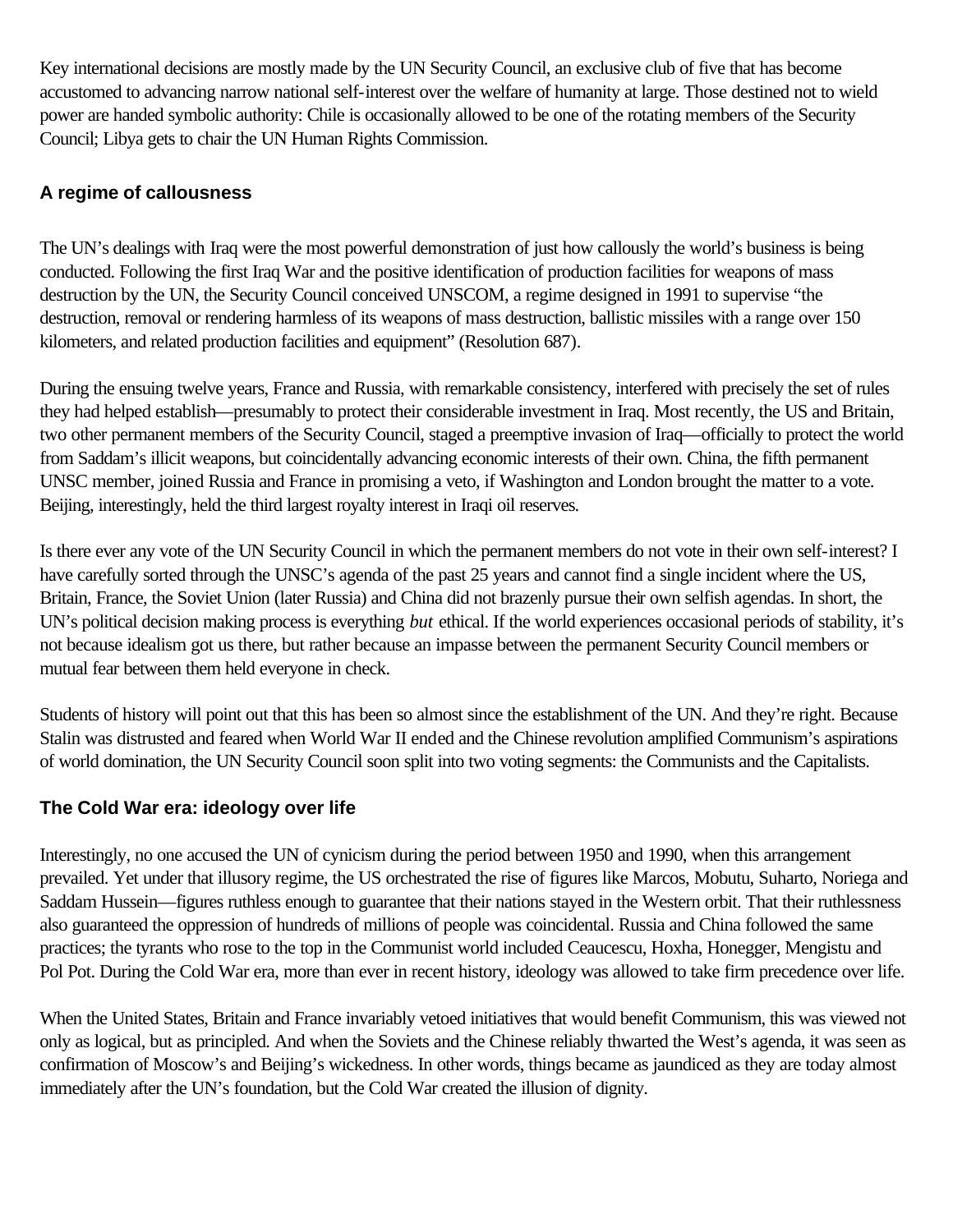Key international decisions are mostly made by the UN Security Council, an exclusive club of five that has become accustomed to advancing narrow national self-interest over the welfare of humanity at large. Those destined not to wield power are handed symbolic authority: Chile is occasionally allowed to be one of the rotating members of the Security Council; Libya gets to chair the UN Human Rights Commission.

# **A regime of callousness**

The UN's dealings with Iraq were the most powerful demonstration of just how callously the world's business is being conducted. Following the first Iraq War and the positive identification of production facilities for weapons of mass destruction by the UN, the Security Council conceived UNSCOM, a regime designed in 1991 to supervise "the destruction, removal or rendering harmless of its weapons of mass destruction, ballistic missiles with a range over 150 kilometers, and related production facilities and equipment" (Resolution 687).

During the ensuing twelve years, France and Russia, with remarkable consistency, interfered with precisely the set of rules they had helped establish—presumably to protect their considerable investment in Iraq. Most recently, the US and Britain, two other permanent members of the Security Council, staged a preemptive invasion of Iraq—officially to protect the world from Saddam's illicit weapons, but coincidentally advancing economic interests of their own. China, the fifth permanent UNSC member, joined Russia and France in promising a veto, if Washington and London brought the matter to a vote. Beijing, interestingly, held the third largest royalty interest in Iraqi oil reserves.

Is there ever any vote of the UN Security Council in which the permanent members do not vote in their own self-interest? I have carefully sorted through the UNSC's agenda of the past 25 years and cannot find a single incident where the US, Britain, France, the Soviet Union (later Russia) and China did not brazenly pursue their own selfish agendas. In short, the UN's political decision making process is everything *but* ethical. If the world experiences occasional periods of stability, it's not because idealism got us there, but rather because an impasse between the permanent Security Council members or mutual fear between them held everyone in check.

Students of history will point out that this has been so almost since the establishment of the UN. And they're right. Because Stalin was distrusted and feared when World War II ended and the Chinese revolution amplified Communism's aspirations of world domination, the UN Security Council soon split into two voting segments: the Communists and the Capitalists.

## **The Cold War era: ideology over life**

Interestingly, no one accused the UN of cynicism during the period between 1950 and 1990, when this arrangement prevailed. Yet under that illusory regime, the US orchestrated the rise of figures like Marcos, Mobutu, Suharto, Noriega and Saddam Hussein—figures ruthless enough to guarantee that their nations stayed in the Western orbit. That their ruthlessness also guaranteed the oppression of hundreds of millions of people was coincidental. Russia and China followed the same practices; the tyrants who rose to the top in the Communist world included Ceaucescu, Hoxha, Honegger, Mengistu and Pol Pot. During the Cold War era, more than ever in recent history, ideology was allowed to take firm precedence over life.

When the United States, Britain and France invariably vetoed initiatives that would benefit Communism, this was viewed not only as logical, but as principled. And when the Soviets and the Chinese reliably thwarted the West's agenda, it was seen as confirmation of Moscow's and Beijing's wickedness. In other words, things became as jaundiced as they are today almost immediately after the UN's foundation, but the Cold War created the illusion of dignity.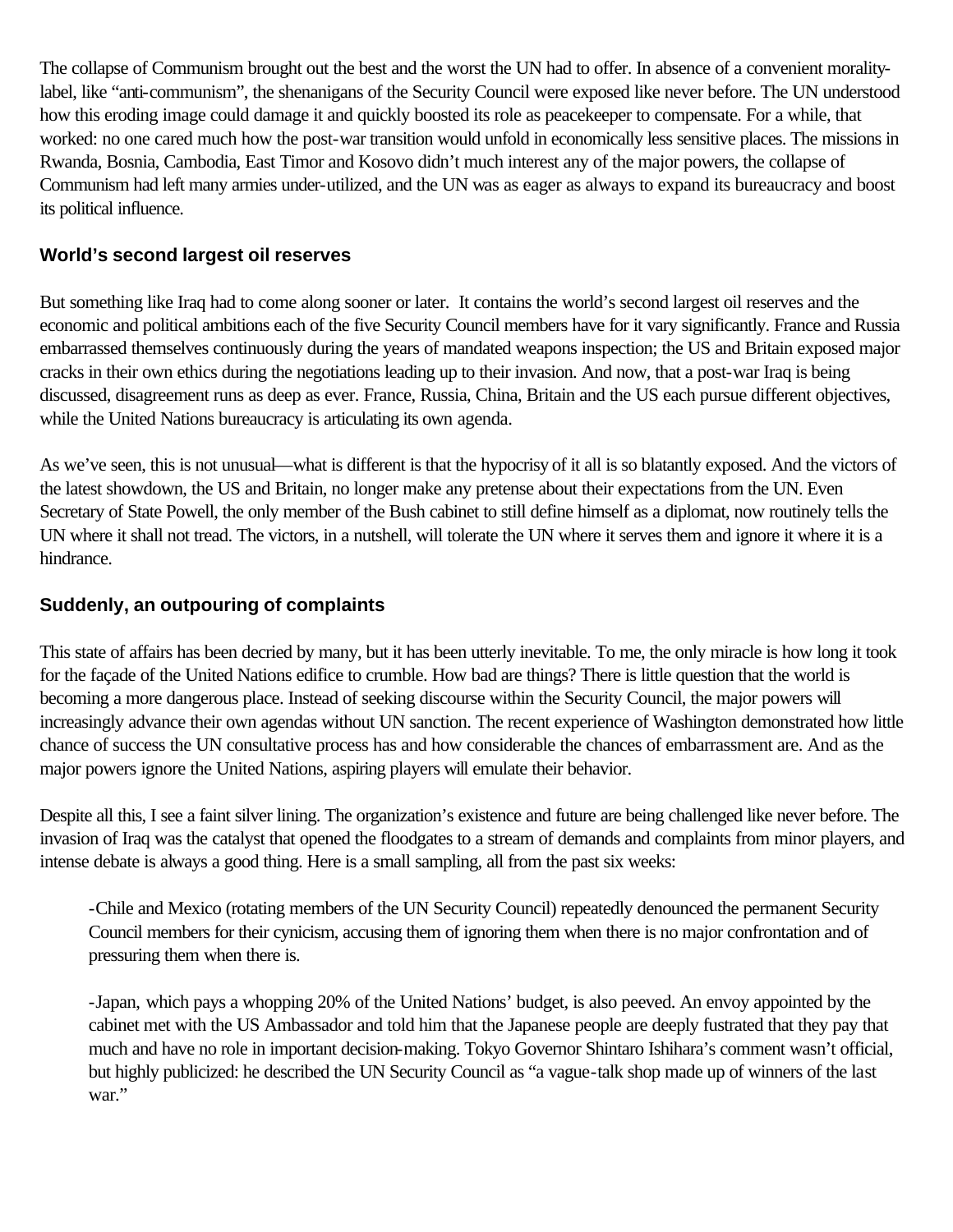The collapse of Communism brought out the best and the worst the UN had to offer. In absence of a convenient moralitylabel, like "anti-communism", the shenanigans of the Security Council were exposed like never before. The UN understood how this eroding image could damage it and quickly boosted its role as peacekeeper to compensate. For a while, that worked: no one cared much how the post-war transition would unfold in economically less sensitive places. The missions in Rwanda, Bosnia, Cambodia, East Timor and Kosovo didn't much interest any of the major powers, the collapse of Communism had left many armies under-utilized, and the UN was as eager as always to expand its bureaucracy and boost its political influence.

## **World's second largest oil reserves**

But something like Iraq had to come along sooner or later. It contains the world's second largest oil reserves and the economic and political ambitions each of the five Security Council members have for it vary significantly. France and Russia embarrassed themselves continuously during the years of mandated weapons inspection; the US and Britain exposed major cracks in their own ethics during the negotiations leading up to their invasion. And now, that a post-war Iraq is being discussed, disagreement runs as deep as ever. France, Russia, China, Britain and the US each pursue different objectives, while the United Nations bureaucracy is articulating its own agenda.

As we've seen, this is not unusual—what is different is that the hypocrisy of it all is so blatantly exposed. And the victors of the latest showdown, the US and Britain, no longer make any pretense about their expectations from the UN. Even Secretary of State Powell, the only member of the Bush cabinet to still define himself as a diplomat, now routinely tells the UN where it shall not tread. The victors, in a nutshell, will tolerate the UN where it serves them and ignore it where it is a hindrance.

### **Suddenly, an outpouring of complaints**

This state of affairs has been decried by many, but it has been utterly inevitable. To me, the only miracle is how long it took for the façade of the United Nations edifice to crumble. How bad are things? There is little question that the world is becoming a more dangerous place. Instead of seeking discourse within the Security Council, the major powers will increasingly advance their own agendas without UN sanction. The recent experience of Washington demonstrated how little chance of success the UN consultative process has and how considerable the chances of embarrassment are. And as the major powers ignore the United Nations, aspiring players will emulate their behavior.

Despite all this, I see a faint silver lining. The organization's existence and future are being challenged like never before. The invasion of Iraq was the catalyst that opened the floodgates to a stream of demands and complaints from minor players, and intense debate is always a good thing. Here is a small sampling, all from the past six weeks:

-Chile and Mexico (rotating members of the UN Security Council) repeatedly denounced the permanent Security Council members for their cynicism, accusing them of ignoring them when there is no major confrontation and of pressuring them when there is.

-Japan, which pays a whopping 20% of the United Nations' budget, is also peeved. An envoy appointed by the cabinet met with the US Ambassador and told him that the Japanese people are deeply fustrated that they pay that much and have no role in important decision-making. Tokyo Governor Shintaro Ishihara's comment wasn't official, but highly publicized: he described the UN Security Council as "a vague-talk shop made up of winners of the last war."